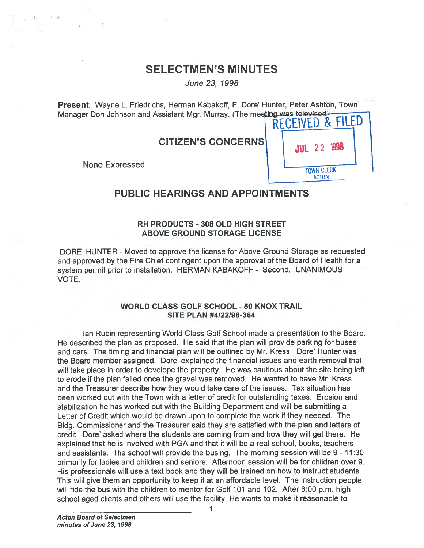# SELECTMEN'S MINUTES

June23, 1998

Present: Wayne L. Friedrichs, Herman Kabakoff, F. Dare' Hunter, Peter Ashton, Town Manager Don Johnson and Assistant Mgr. Murray. (The meeting was televised)<br>RECEIVED &

CITIZEN'S CONCERNS



# PUBLIC HEARINGS AND APPOINTMENTS

# RH PRODUCTS - 308 OLD HIGH STREET ABOVE GROUND STORAGE LICENSE

DORE' HUNTER - Moved to approve the license for Above Ground Storage as requested and approved by the Fire Chief contingent upon the approval of the Board of Health for <sup>a</sup> system permit prior to installation. HERMAN KABAKOFF - Second. UNANIMOUS VOTE.

# WORLD CLASS GOLF SCHOOL -50 KNOX TRAIL SITE PLAN #4122198-364

Ian Rubin representing World Class Golf School made <sup>a</sup> presentation to the Board. He described the plan as proposed. He said that the plan will provide parking for buses and cars. The timing and financial plan will be outlined by Mr. Kress. Dore' Hunter was the Board member assigned. Dore' explained the financial issues and earth removal that will take place in order to develope the property. He was cautious about the site being left to erode if the plan failed once the gravel was removed. He wanted to have Mr. Kress and the Treasurer describe how they would take care of the issues. Tax situation has been worked out with the Town with <sup>a</sup> letter of credit for outstanding taxes. Erosion and stabilization he has worked out with the Building Department and will be submitting <sup>a</sup> Letter of Credit which would be drawn upon to complete the work if they needed. The Bldg. Commissioner and the Treasurer said they are satisfied with the <sup>p</sup>lan and letters of credit. Dore' asked where the students are coming from and how they will ge<sup>t</sup> there. He explained that he is involved with PGA and that it will be <sup>a</sup> real school, books, teachers and assistants. The school will provide the busing. The morning session will be 9 - 11:30 primarily for ladies and children and seniors. Afternoon session will be for children over 9. His professionals will use <sup>a</sup> text book and they will be trained on how to instruct students. This will give them an opportunity to keep it at an affordable level. The instruction people will ride the bus with the children to mentor for Golf 101 and 102. After 6:00 p.m. high school aged clients and others will use the facility He wants to make it reasonable to

1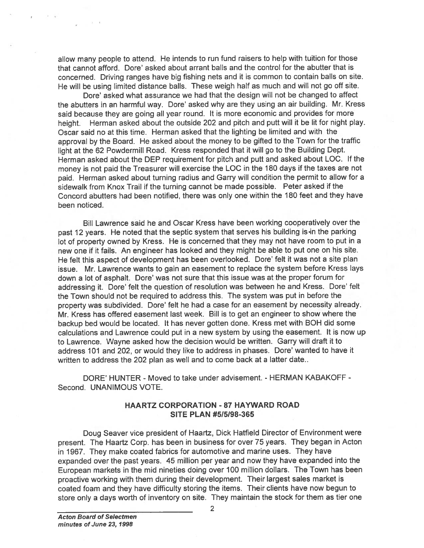allow many people to attend. He intends to run fund raisers to help with tuition for those that cannot afford. Dore' asked about arrant balls and the control for the abutter that is concerned. Driving ranges have big fishing nets and it is common to contain balls on site. He will be using limited distance balls. These weigh half as much and will not go off site.

Dote' asked what assurance we had that the design will not be changed to affect the abutters in an harmful way. Dore' asked why are they using an air building. Mr. Kress said because they are going all year round. It is more economic and provides for more height. Herman asked about the outside <sup>202</sup> and <sup>p</sup>itch and putt will it be lit for night <sup>p</sup>lay. Oscar said no at this time. Herman asked that the lighting be limited and with the approva<sup>l</sup> by the Board. He asked about the money to be <sup>g</sup>ifted to the Town for the traffic light at the <sup>62</sup> Powdermill Road. Kress responded that it will go to the Building Dept. Herman asked about the DEP requirement for pitch and putt and asked about LOC. If the money is not paid the Treasurer will exercise the LOC in the <sup>180</sup> days if the taxes are not paid. Herman asked about turning radius and Garry will condition the permit to allow for a sidewalk from Knox Trail if the turning cannot be made possible. Peter asked if the Concord abutters had been notified, there was only one within the 180 feet and they have been noticed.

Bill Lawrence said he and Oscar Kress have been working cooperatively over the pas<sup>t</sup> <sup>12</sup> years. He noted that the septic system that serves his building is•in the parking lot of property owned by Kress. He is concerned that they may not have room to put in a new one if it fails. An engineer has looked and they might be able to pu<sup>t</sup> one on his site. He felt this aspect of development has been overlooked. Dore' felt it was not a site plan issue. Mr. Lawrence wants to gain an easement to replace the system before Kress lays down a lot of asphalt. Dore' was not sure that this issue was at the proper forum for addressing it. Dore' felt the question of resolution was between he and Kress. Dore' felt the Town should not be required to address this. The system was pu<sup>t</sup> in before the property was subdivided. Dore' felt he had a case for an easement by necessity already. Mr. Kress has offered easement last week. Bill is to ge<sup>t</sup> an engineer to show where the backup bed would be located. It has never gotten done. Kress met with BOH did some calculations and Lawrence could pu<sup>t</sup> in <sup>a</sup> new system by using the easement. It is now up to Lawrence. Wayne asked how the decision would be written. Garry will draft it to address 101 and 202, or would they like to address in <sup>p</sup>hases. Dote' wanted to have it written to address the 202 <sup>p</sup>lan as well and to come back at <sup>a</sup> latter date.. stow many people to strend. He intends to run fund raisers to help with utilion for those to comence. Orbitter a respected worted that smooth of its abutter hat is the comence of the interaction in the stock for the stock

DORE' HUNTER - Moved to take under advisement. - HERMAN KABAKOFF - Second. UNANIMOUS VOTE.

#### HAARTZ CORPORATION -87 HAYWARD ROAD SITE PLAN #5/5198-365

Doug Seaver vice president of Haartz, Dick Hatfield Director of Environment were present. The Haartz Corp. has been in business for over <sup>75</sup> years. They began in Acton in 1967. They make coated fabrics for automotive and marine uses. They have expanded over the pas<sup>t</sup> years. <sup>45</sup> million per year and now they have expanded into the European markets in the mid nineties doing over <sup>100</sup> million dollars. The Town has been proactive working with them during their development. Their largest sales market is coated foam and they have difficulty storing the items. Their clients have now begun to store only a days worth of inventory on site. They maintain the stock for them as tier one

2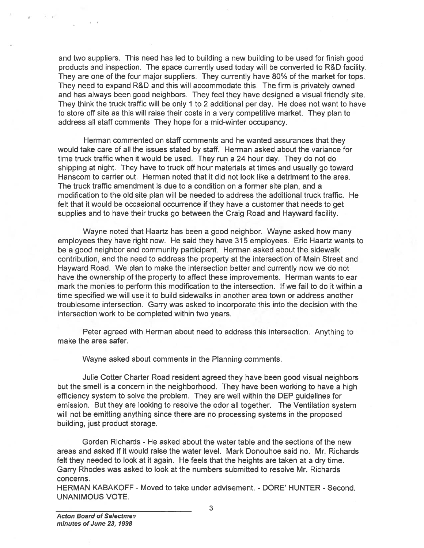and two suppliers. This need has led to building <sup>a</sup> new building to be used for finish good products and inspection. The space currently used today will be converted to R&D facility. They are one of the four major suppliers. They currently have 80% of the market for tops. They need to expand R&D and this will accommodate this. The firm is privately owned and has always been good neighbors. They feel they have designed <sup>a</sup> visual friendly site. They think the truck traffic will be only 1 to 2 additional per day. He does not want to have to store off site as this will raise their costs in <sup>a</sup> very competitive market. They plan to address all staff comments They hope for <sup>a</sup> mid-winter occupancy.

Herman commented on staff comments and he wanted assurances that they would take care of all the issues stated by staff. Herman asked about the variance for time truck traffic when it would be used. They run <sup>a</sup> 24 hour day. They do not do shipping at night. They have to truck off hour materials at times and usually go toward Hanscom to carrier out. Herman noted that it did not look like <sup>a</sup> detriment to the area. The truck traffic amendment is due to <sup>a</sup> condition on <sup>a</sup> former site plan, and <sup>a</sup> modification to the old site plan will be needed to address the additional truck traffic. He felt that it would be occasional occurrence if they have <sup>a</sup> customer that needs to ge<sup>t</sup> supplies and to have their trucks go between the Craig Road and Hayward facility.

Wayne noted that Haartz has been <sup>a</sup> good neighbor. Wayne asked how many employees they have right now. He said they have 315 employees. Eric Haartz wants to be <sup>a</sup> good neighbor and community participant. Herman asked about the sidewalk contribution, and the need to address the property at the intersection of Main Street and Hayward Road. We plan to make the intersection better and currently now we do not have the ownership of the property to affect these improvements. Herman wants to ear mark the monies to perform this modification to the intersection, If we fail to do it within <sup>a</sup> time specified we will use it to build sidewalks in another area town or address another troublesome intersection. Garry was asked to incorporate this into the decision with the intersection work to be completed within two years. and two suppliers. This need has led the products and inspection. The space cure of the four major supplier and that will be only and this will raise then the street of stellar and the street of stellar and the street of s

Peter agreed with Herman about need to address this intersection. Anything to make the area safer.

Wayne asked about comments in the Planning comments.

Julie Cotter Charter Road resident agreed they have been good visual neighbors but the smell is <sup>a</sup> concern in the neighborhood. They have been working to have <sup>a</sup> high efficiency system to solve the problem. They are well within the DEP guidelines for emission. But they are looking to resolve the odor all together. The Ventilation system will not be emitting anything since there are no processing systems in the proposed building, just product storage.

Gorden Richards - He asked about the water table and the sections of the new areas and asked if it would raise the water level. Mark Donouhoe said no. Mr. Richards felt they needed to look at it again. He feels that the heights are taken at <sup>a</sup> dry time. Garry Rhodes was asked to look at the numbers submitted to resolve Mr. Richards concerns.

HERMAN KABAKOFF - Moved to take under advisement. - DORE' HUNTER - Second.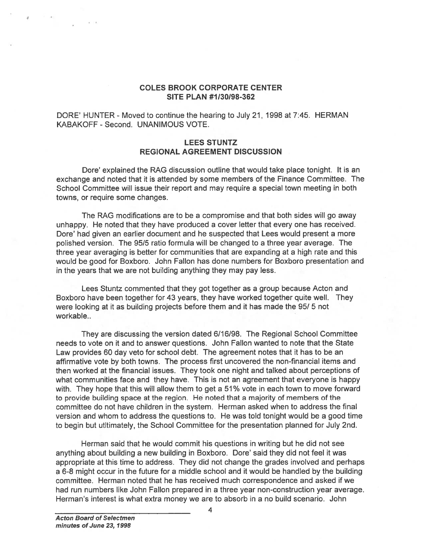#### COLES BROOK CORPORATE CENTER SITE PLAN #1130198-362

DORE' HUNTER - Moved to continue the hearing to July 21, 1998 at 7:45. HERMAN KABAKOFF - Second. UNANIMOUS VOTE.

### LEES STUNTZ REGIONAL AGREEMENT DISCUSSION

Dore' explained the RAG discussion outline that would take place tonight. It is an exchange and noted that it is attended by some members of the Finance Committee. The School Committee will issue their repor<sup>t</sup> and may require <sup>a</sup> special town meeting in both towns, or require some changes.

The RAG modifications are to be <sup>a</sup> compromise and that both sides will go away unhappy. He noted that they have produced <sup>a</sup> cover letter that every one has received. Dore' had given an earlier document and he suspected that Lees would presen<sup>t</sup> <sup>a</sup> more polished version. The 95/5 ratio formula will be changed to <sup>a</sup> three year average. The three year averaging is better for communities that are expanding at <sup>a</sup> high rate and this would be good for Boxboro. John Fallon has done numbers for Boxboro presentation and in the years that we are not building anything they may pay less.

Lees Stuntz commented that they go<sup>t</sup> together as <sup>a</sup> group because Acton and Boxboro have been together for 43 years, they have worked together quite well. They were looking at it as building projects before them and it has made the 95/ 5 not workable..

They are discussing the version dated 6/16/98. The Regional School Committee needs to vote on it and to answer questions. John Fallon wanted to note that the State Law provides 60 day veto for school debt. The agreemen<sup>t</sup> notes that it has to be an affirmative vote by both towns. The process first uncovered the non-financial items and then worked at the financial issues. They took one night and talked about perceptions of what communities face and they have. This is not an agreemen<sup>t</sup> that everyone is happy with. They hope that this will allow them to ge<sup>t</sup> <sup>a</sup> 51% vote in each town to move forward to provide building space at the region. He noted that <sup>a</sup> majority of members of the committee do not have children in the system. Herman asked when to address the final version and whom to address the questions to. He was told tonight would be <sup>a</sup> good time to begin but utltimately, the School Committee for the presentation planned for July 2nd. COLES BROOK CORPORATE CENTER<br>SITE PLAN #173038-382<br>DORE HUNTER - Moved to continue the hearing to July 21, 1998 at 7:45. HERMAY<br>KABAKOFF - Second. UNANIMOUS VOTE.<br>REGIONAL AGREEMENT DISCUSSION<br>REGIONAL AGREEMENT DISCUSSION

Herman said that he would commit his questions in writing but he did not see anything about building a new building in Boxboro. Dore' said they did not feel it was appropriate at this time to address. They did not change the grades involved and perhaps <sup>a</sup> 6-8 might occur in the future for <sup>a</sup> middle school and it would be handled by the building committee. Herman noted that he has received much correspondence and asked if we had run numbers like John Fallon prepared in <sup>a</sup> three year non-construction year average.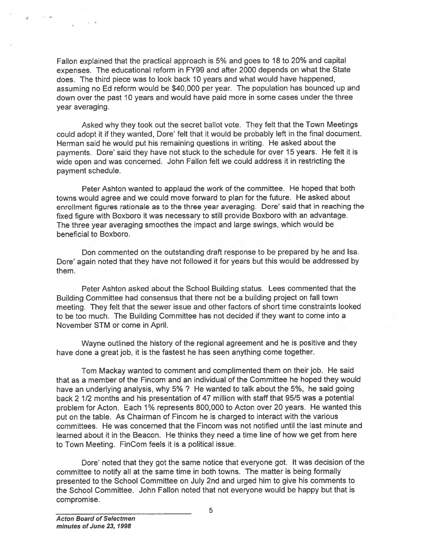Fallon explained that the practical approac<sup>h</sup> is 5% and goes to 18 to 20% and capital expenses. The educational reform in FY99 and after <sup>2000</sup> depends on what the State does. The third piece was to look back 10 years and what would have happened, assuming no Ed reform would be \$40,000 per year. The population has bounced up and down over the pas<sup>t</sup> 10 years and would have paid more in some cases under the three year averaging.

Asked why they took out the secret ballot vote. They felt that the Town Meetings could adopt it if they wanted, Dore' felt that it would be probably left in the final document. Herman said he would pu<sup>t</sup> his remaining questions in writing. He asked about the payments. Dore' said they have not stuck to the schedule for over 15 years. He felt it is wide open and was concerned. John Fallon felt we could address it in restricting the paymen<sup>t</sup> schedule.

Peter Ashton wanted to applaud the work of the committee. He hoped that both towns would agree and we could move forward to plan for the future. He asked about enrollment figures rationale as to the three year averaging. Dore' said that in reaching the fixed figure with Boxboro it was necessary to still provide Boxboro with an advantage. The three year averaging smoothes the impact and large swings, which would be beneficial to Boxboro.

Don commented on the outstanding draft response to be prepared by he and isa. Dore' again noted that they have not followed it for years but this would be addressed by them.

Peter Ashton asked about the School Building status. Lees commented that the Building Committee had consensus that there not be <sup>a</sup> building project on fall town meeting. They felt that the sewer issue and other factors of short time constraints looked to be too much. The Building Committee has not decided if they want to come into <sup>a</sup> November STM or come in April.

Wayne outlined the history of the regional agreemen<sup>t</sup> and he is positive and they have done <sup>a</sup> grea<sup>t</sup> job, it is the fastest he has seen anything come together.

Tom Mackay wanted to comment and complimented them on their job. He said that as <sup>a</sup> member of the Fincom and an individual of the Committee he hoped they would have an underlying analysis, why 5%? He wanted to talk about the 5%, he said going back 2 1/2 months and his presentation of 47 million with staff that 95/5 was <sup>a</sup> potential problem for Acton. Each 1% represents 800,000 to Acton over <sup>20</sup> years. He wanted this pu<sup>t</sup> on the table. As Chairman of Fincom he is charged to interact with the various committees. He was concerned that the Fincom was not notified until the last minute and learned about it in the Beacon. He thinks they need <sup>a</sup> time line of how we ge<sup>t</sup> from here to Town Meeting. FinCom feels it is <sup>a</sup> political issue.

Dore' noted that they go<sup>t</sup> the same notice that everyone got. It was decision of the committee to notify all at the same time in both towns. The matter is being formally presented to the School Committee on July 2nd and urged him to <sup>g</sup>ive his comments to the School Committee. John Fallon noted that not everyone would be happy but that is compromise.

4

 $t = -t$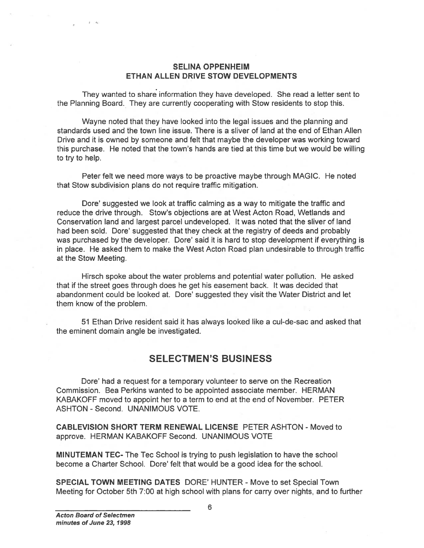#### SELINA OPPENHEIM ETHAN ALLEN DRIVE STOW DEVELOPMENTS

They wanted to share information they have developed. She read <sup>a</sup> letter sent to the Planning Board. They are currently cooperating with Stow residents to stop this.

Wayne noted that they have looked into the legal issues and the planning and standards used and the town line issue. There is <sup>a</sup> sliver of land at the end of Ethan Allen Drive and it is owned by someone and felt that maybe the developer was working toward this purchase. He noted that the town's hands are tied at this time but we would be willing to try to help.

Peter felt we need more ways to be proactive maybe through MAGIC. He noted that Stow subdivision plans do not require traffic mitigation.

Dore' suggested we look at traffic calming as <sup>a</sup> way to mitigate the traffic and reduce the drive through. Stow's objections are at West Acton Road, Wetlands and Conservation land and largest parcel undeveloped. It was noted that the sliver of land had been sold. Dore' suggested that they check at the registry of deeds and probably was purchased by the developer. Dore' said it is hard to stop development if everything is in place. He asked them to make the West Acton Road plan undesirable to through traffic at the Stow Meeting. SELINA OPPENHEIM<br>
They wanted to share information they have developed. She read a letter sen to<br>
the Panning Beat They are currently cooperating with Stow residents to stop this<br>
the Panning and<br>
through Beat of the town

Hirsch spoke about the water problems and potential water pollution. He asked that if the street goes through does he ge<sup>t</sup> his easement back. It was decided that abandonment could be looked at. Dore' suggested they visit the Water District and let them know of the problem.

51 Ethan Drive resident said it has always looked like <sup>a</sup> cul-de-sac and asked that the eminent domain angle be investigated.

# SELECTMEN'S BUSINESS

Dote' had <sup>a</sup> reques<sup>t</sup> for <sup>a</sup> temporary volunteer to serve on the Recreation Commission. Bea Perkins wanted to be appointed associate member. HERMAN KABAKOFF moved to appoint her to <sup>a</sup> term to end at the end of November. PETER ASHTON - Second. UNANIMOUS VOTE.

CABLEVISION SHORT TERM RENEWAL LICENSE PETER ASHTON -Moved to approve. HERMAN KABAKOFF Second. UNANIMOUS VOTE

MINUTEMAN TEC- The Tec School is trying to push legislation to have the school become <sup>a</sup> Charter School. Dore' felt that would be <sup>a</sup> good idea for the school.

SPECIAL TOWN MEETING DATES DORE' HUNTER - Move to set Special Town

1 4